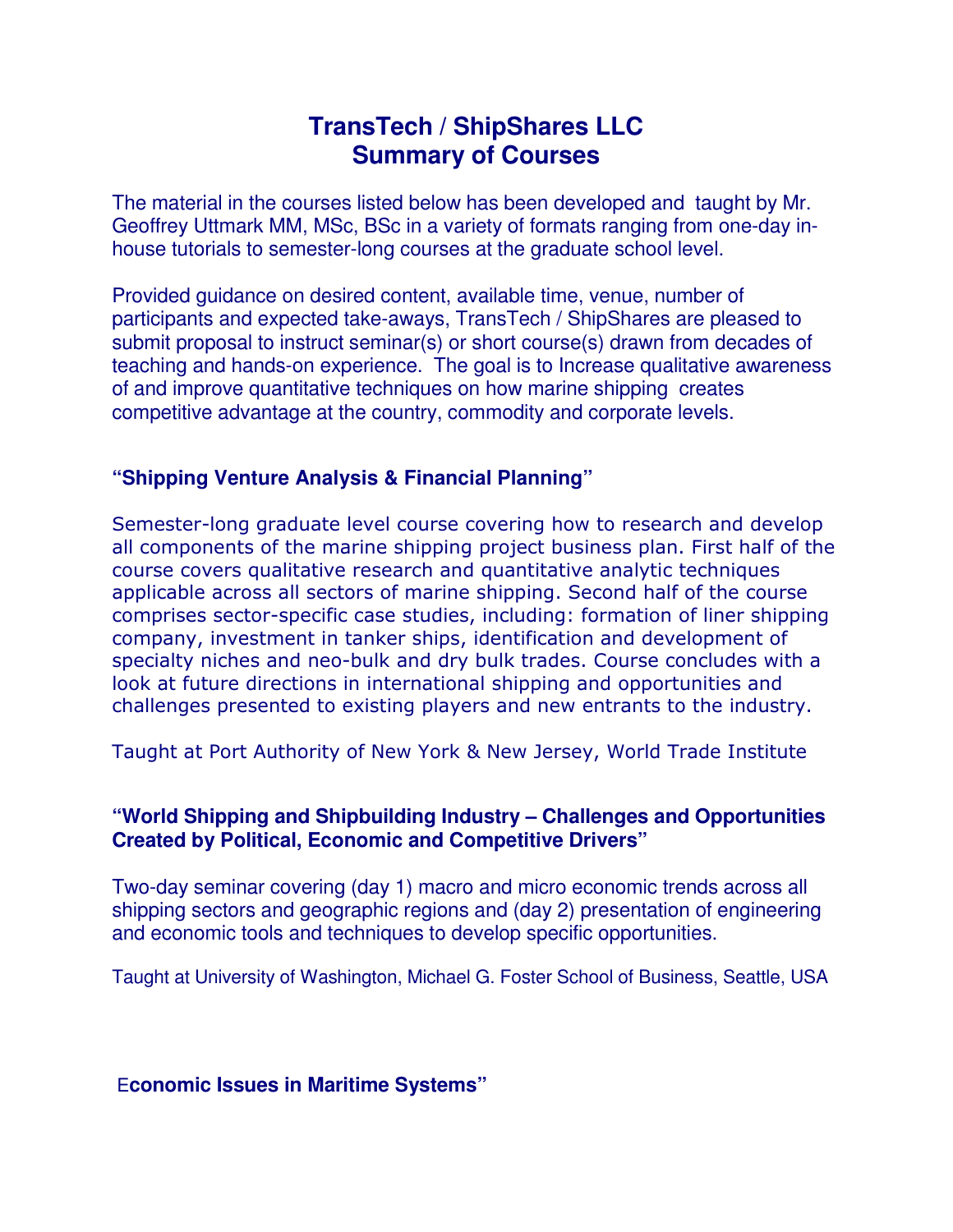# **TransTech / ShipShares LLC Summary of Courses**

The material in the courses listed below has been developed and taught by Mr. Geoffrey Uttmark MM, MSc, BSc in a variety of formats ranging from one-day inhouse tutorials to semester-long courses at the graduate school level.

Provided guidance on desired content, available time, venue, number of participants and expected take-aways, TransTech / ShipShares are pleased to submit proposal to instruct seminar(s) or short course(s) drawn from decades of teaching and hands-on experience. The goal is to Increase qualitative awareness of and improve quantitative techniques on how marine shipping creates competitive advantage at the country, commodity and corporate levels.

## **"Shipping Venture Analysis & Financial Planning"**

Semester-long graduate level course covering how to research and develop all components of the marine shipping project business plan. First half of the course covers qualitative research and quantitative analytic techniques applicable across all sectors of marine shipping. Second half of the course comprises sector-specific case studies, including: formation of liner shipping company, investment in tanker ships, identification and development of specialty niches and neo-bulk and dry bulk trades. Course concludes with a look at future directions in international shipping and opportunities and challenges presented to existing players and new entrants to the industry.

Taught at Port Authority of New York & New Jersey, World Trade Institute

## **"World Shipping and Shipbuilding Industry – Challenges and Opportunities Created by Political, Economic and Competitive Drivers"**

Two-day seminar covering (day 1) macro and micro economic trends across all shipping sectors and geographic regions and (day 2) presentation of engineering and economic tools and techniques to develop specific opportunities.

Taught at University of Washington, Michael G. Foster School of Business, Seattle, USA

#### E**conomic Issues in Maritime Systems"**